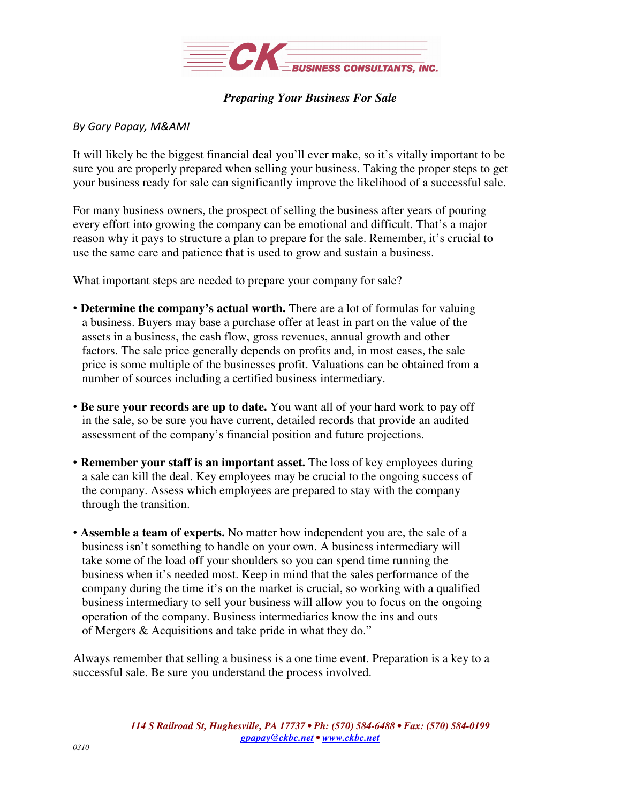

## *Preparing Your Business For Sale*

## *By Gary Papay, M&AMI*

It will likely be the biggest financial deal you'll ever make, so it's vitally important to be sure you are properly prepared when selling your business. Taking the proper steps to get your business ready for sale can significantly improve the likelihood of a successful sale.

For many business owners, the prospect of selling the business after years of pouring every effort into growing the company can be emotional and difficult. That's a major reason why it pays to structure a plan to prepare for the sale. Remember, it's crucial to use the same care and patience that is used to grow and sustain a business.

What important steps are needed to prepare your company for sale?

- **Determine the company's actual worth.** There are a lot of formulas for valuing a business. Buyers may base a purchase offer at least in part on the value of the assets in a business, the cash flow, gross revenues, annual growth and other factors. The sale price generally depends on profits and, in most cases, the sale price is some multiple of the businesses profit. Valuations can be obtained from a number of sources including a certified business intermediary.
- **Be sure your records are up to date.** You want all of your hard work to pay off in the sale, so be sure you have current, detailed records that provide an audited assessment of the company's financial position and future projections.
- **Remember your staff is an important asset.** The loss of key employees during a sale can kill the deal. Key employees may be crucial to the ongoing success of the company. Assess which employees are prepared to stay with the company through the transition.
- **Assemble a team of experts.** No matter how independent you are, the sale of a business isn't something to handle on your own. A business intermediary will take some of the load off your shoulders so you can spend time running the business when it's needed most. Keep in mind that the sales performance of the company during the time it's on the market is crucial, so working with a qualified business intermediary to sell your business will allow you to focus on the ongoing operation of the company. Business intermediaries know the ins and outs of Mergers & Acquisitions and take pride in what they do."

Always remember that selling a business is a one time event. Preparation is a key to a successful sale. Be sure you understand the process involved.